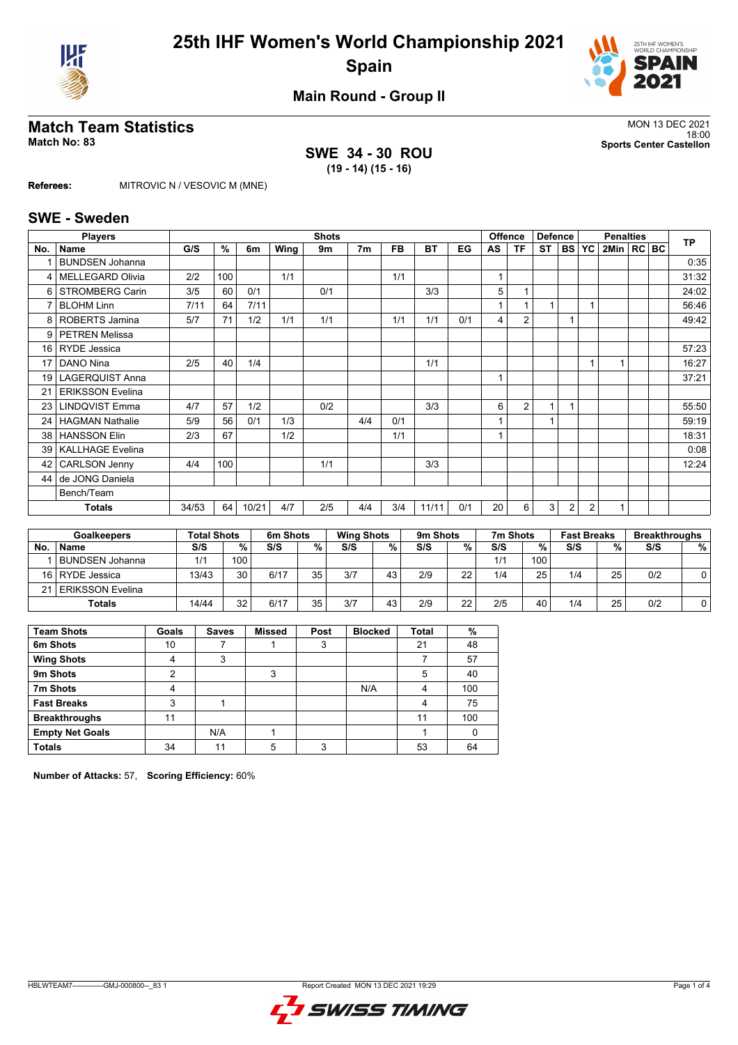



**Main Round - Group II**

# **Match Team Statistics** MON 13 DEC 2021

## **SWE 34 - 30 ROU (19 - 14) (15 - 16)**

18:00 **Match No: 83 Sports Center Castellon**

**Referees:** MITROVIC N / VESOVIC M (MNE)

#### **SWE - Sweden**

|     | <b>Players</b>          |       |     |       |      | <b>Shots</b> |                |     |           |     |    | <b>Offence</b> | <b>Defence</b> |                | <b>Penalties</b> |              | <b>TP</b> |       |
|-----|-------------------------|-------|-----|-------|------|--------------|----------------|-----|-----------|-----|----|----------------|----------------|----------------|------------------|--------------|-----------|-------|
| No. | Name                    | G/S   | %   | 6m    | Wing | 9m           | 7 <sub>m</sub> | FB. | <b>BT</b> | EG  | AS | <b>TF</b>      | ST             |                | <b>BS YC</b>     | 2Min   RC BC |           |       |
|     | <b>BUNDSEN Johanna</b>  |       |     |       |      |              |                |     |           |     |    |                |                |                |                  |              |           | 0:35  |
| 4   | <b>MELLEGARD Olivia</b> | 2/2   | 100 |       | 1/1  |              |                | 1/1 |           |     |    |                |                |                |                  |              |           | 31:32 |
| 6   | <b>STROMBERG Carin</b>  | 3/5   | 60  | 0/1   |      | 0/1          |                |     | 3/3       |     | 5  | 1              |                |                |                  |              |           | 24:02 |
| 7   | <b>BLOHM Linn</b>       | 7/11  | 64  | 7/11  |      |              |                |     |           |     |    | 1              |                |                |                  |              |           | 56:46 |
| 8   | <b>ROBERTS Jamina</b>   | 5/7   | 71  | 1/2   | 1/1  | 1/1          |                | 1/1 | 1/1       | 0/1 | 4  | $\overline{2}$ |                | 1              |                  |              |           | 49:42 |
| 9   | <b>PETREN Melissa</b>   |       |     |       |      |              |                |     |           |     |    |                |                |                |                  |              |           |       |
| 16  | <b>RYDE</b> Jessica     |       |     |       |      |              |                |     |           |     |    |                |                |                |                  |              |           | 57:23 |
| 17  | DANO Nina               | 2/5   | 40  | 1/4   |      |              |                |     | 1/1       |     |    |                |                |                |                  |              |           | 16:27 |
| 19  | <b>LAGERQUIST Anna</b>  |       |     |       |      |              |                |     |           |     |    |                |                |                |                  |              |           | 37:21 |
| 21  | <b>ERIKSSON Evelina</b> |       |     |       |      |              |                |     |           |     |    |                |                |                |                  |              |           |       |
| 23  | <b>LINDQVIST Emma</b>   | 4/7   | 57  | 1/2   |      | 0/2          |                |     | 3/3       |     | 6  | $\overline{2}$ | 1              |                |                  |              |           | 55:50 |
| 24  | <b>HAGMAN Nathalie</b>  | 5/9   | 56  | 0/1   | 1/3  |              | 4/4            | 0/1 |           |     |    |                |                |                |                  |              |           | 59:19 |
| 38  | <b>HANSSON Elin</b>     | 2/3   | 67  |       | 1/2  |              |                | 1/1 |           |     |    |                |                |                |                  |              |           | 18:31 |
| 39  | <b>KALLHAGE Evelina</b> |       |     |       |      |              |                |     |           |     |    |                |                |                |                  |              |           | 0:08  |
| 42  | <b>CARLSON Jenny</b>    | 4/4   | 100 |       |      | 1/1          |                |     | 3/3       |     |    |                |                |                |                  |              |           | 12:24 |
| 44  | de JONG Daniela         |       |     |       |      |              |                |     |           |     |    |                |                |                |                  |              |           |       |
|     | Bench/Team              |       |     |       |      |              |                |     |           |     |    |                |                |                |                  |              |           |       |
|     | Totals                  | 34/53 | 64  | 10/21 | 4/7  | 2/5          | 4/4            | 3/4 | 11/11     | 0/1 | 20 | 6              | 3              | $\overline{2}$ | $\overline{2}$   | $\mathbf{1}$ |           |       |

|           | <b>Goalkeepers</b>     | <b>Total Shots</b> |                  | 6m Shots |    | <b>Wing Shots</b> |    | 9 <sub>m</sub> Shots |    | 7m Shots |     | <b>Fast Breaks</b> |    | <b>Breakthroughs</b> |   |
|-----------|------------------------|--------------------|------------------|----------|----|-------------------|----|----------------------|----|----------|-----|--------------------|----|----------------------|---|
| <b>No</b> | <b>Name</b>            | S/S                | %                | S/S      | %  | S/S               | %  | S/S                  | %  | S/S      | %   | S/S                | %  | S/S                  | % |
|           | <b>BUNDSEN Johanna</b> | 1/1                | 100 <sub>1</sub> |          |    |                   |    |                      |    | 1/1      | 100 |                    |    |                      |   |
|           | 16 RYDE Jessica        | 13/43              | 30               | 6/17     | 35 | 3/7               | 43 | 2/9                  | 22 | 1/4      | 25  | 1/4                | 25 | 0/2                  |   |
|           | 21 ERIKSSON Evelina    |                    |                  |          |    |                   |    |                      |    |          |     |                    |    |                      |   |
|           | <b>Totals</b>          | 14/44              | 32               | 6/17     | 35 | 3/7               | 43 | 2/9                  | 22 | 2/5      | 40  | 1/4                | 25 | 0/2                  |   |

| <b>Team Shots</b>      | Goals | <b>Saves</b> | Missed | Post | <b>Blocked</b> | <b>Total</b> | %   |
|------------------------|-------|--------------|--------|------|----------------|--------------|-----|
| 6m Shots               | 10    |              |        | 3    |                | 21           | 48  |
| <b>Wing Shots</b>      | 4     | 3            |        |      |                |              | 57  |
| 9m Shots               | 2     |              | 3      |      |                | 5            | 40  |
| 7m Shots               | 4     |              |        |      | N/A            | 4            | 100 |
| <b>Fast Breaks</b>     | 3     |              |        |      |                | 4            | 75  |
| <b>Breakthroughs</b>   | 11    |              |        |      |                | 11           | 100 |
| <b>Empty Net Goals</b> |       | N/A          |        |      |                |              |     |
| <b>Totals</b>          | 34    | 11           | 5      | っ    |                | 53           | 64  |

**Number of Attacks:** 57, **Scoring Efficiency:** 60%

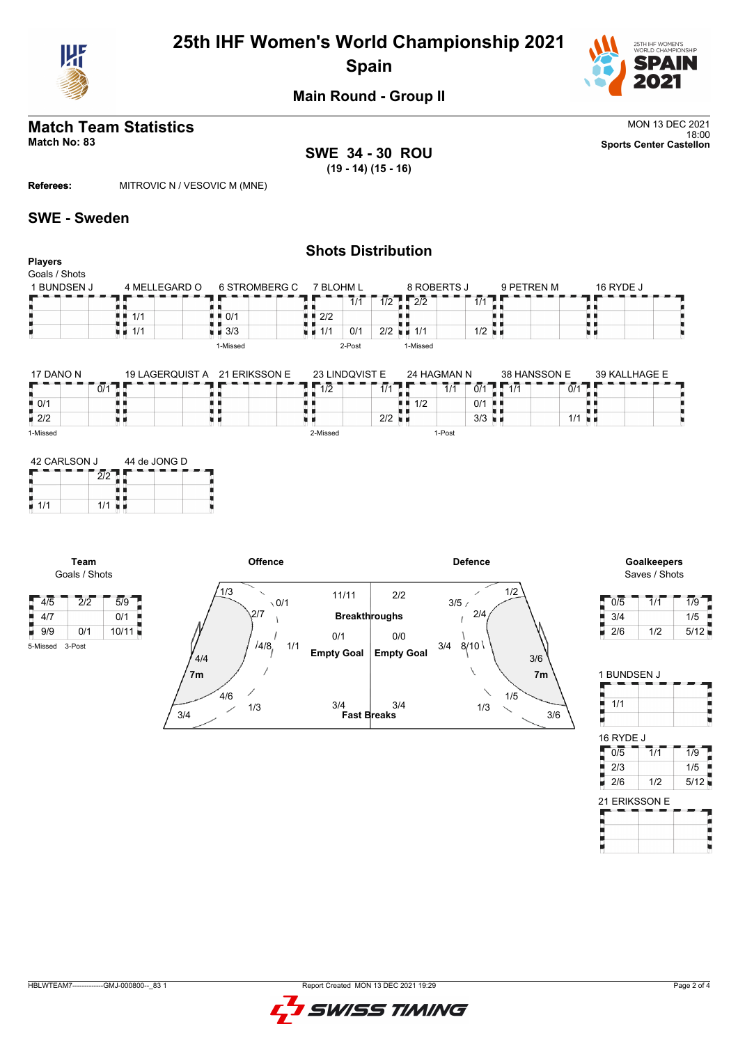

# **25th IHF Women's World Championship 2021 Spain**



**Main Round - Group II**

# **Match Team Statistics** MON 13 DEC 2021

**SWE 34 - 30 ROU (19 - 14) (15 - 16)**

18:00 **Match No: 83 Sports Center Castellon**

**Referees:** MITROVIC N / VESOVIC M (MNE)

### **SWE - Sweden**

#### **Shots Distribution Players** Goals / Shots 8 ROBERTS J 6 STROMBERG C 7 BLOHM L 1 BUNDSEN J 4 MELLEGARD O 9 PETREN M 16 RYDE J a e  $1/2$   $2/2$   $7 - 7/1$ п Е  $7/1$ 89 . . ٠ ă,  $1/1$  $\blacksquare$  0/1  $2/2$  $2/2$  1/1 1/2 1/1 ■ 3/3  $1/1$  0/1 2/2 u d 1-Missed 2-Post 1-Missed

| 17 DANO N          | 21 ERIKSSON E<br>19 LAGERQUIST A |  | 23 LINDQVIST E |                 |                      | 24 HAGMAN N |       |     | 38 HANSSON E |  | 39 KALLHAGE E |  |  |  |
|--------------------|----------------------------------|--|----------------|-----------------|----------------------|-------------|-------|-----|--------------|--|---------------|--|--|--|
|                    | 0/2                              |  |                | $1\overline{2}$ | $\blacksquare$       |             | 1/1   | 0/1 |              |  | 0/1           |  |  |  |
| $\blacksquare$ 0/1 |                                  |  |                |                 |                      | 1/2         |       | 0/1 |              |  |               |  |  |  |
| $\blacksquare$ 2/2 |                                  |  |                |                 | $2/2$ $\blacksquare$ |             |       | 3/3 | . .          |  | 1/1           |  |  |  |
| 1-Missed           |                                  |  |                | 2-Missed        |                      |             | -Post |     |              |  |               |  |  |  |

| 42 CARLSON J |     | 44 de JONG D |  |  |  |  |  |  |  |
|--------------|-----|--------------|--|--|--|--|--|--|--|
|              |     |              |  |  |  |  |  |  |  |
|              |     |              |  |  |  |  |  |  |  |
| 1/1          | 1/1 |              |  |  |  |  |  |  |  |

5-Missed 3-Post





| 0/5 | 1/1 | 1/9  |
|-----|-----|------|
| 3/4 |     | 1/5  |
| 2/6 | 1/2 | 5/12 |

| 1 BUNDSEN J |                  |                  |  |
|-------------|------------------|------------------|--|
|             |                  |                  |  |
| 1/1         |                  |                  |  |
|             |                  |                  |  |
| 16 RYDE J   |                  |                  |  |
| 0/5         | $\overline{1}/1$ | $\overline{1/9}$ |  |
| /3          |                  | 75               |  |

| 2/6           | 1/2 | 5/121 |
|---------------|-----|-------|
| 21 ERIKSSON E |     |       |
|               |     |       |
|               |     |       |
|               |     |       |



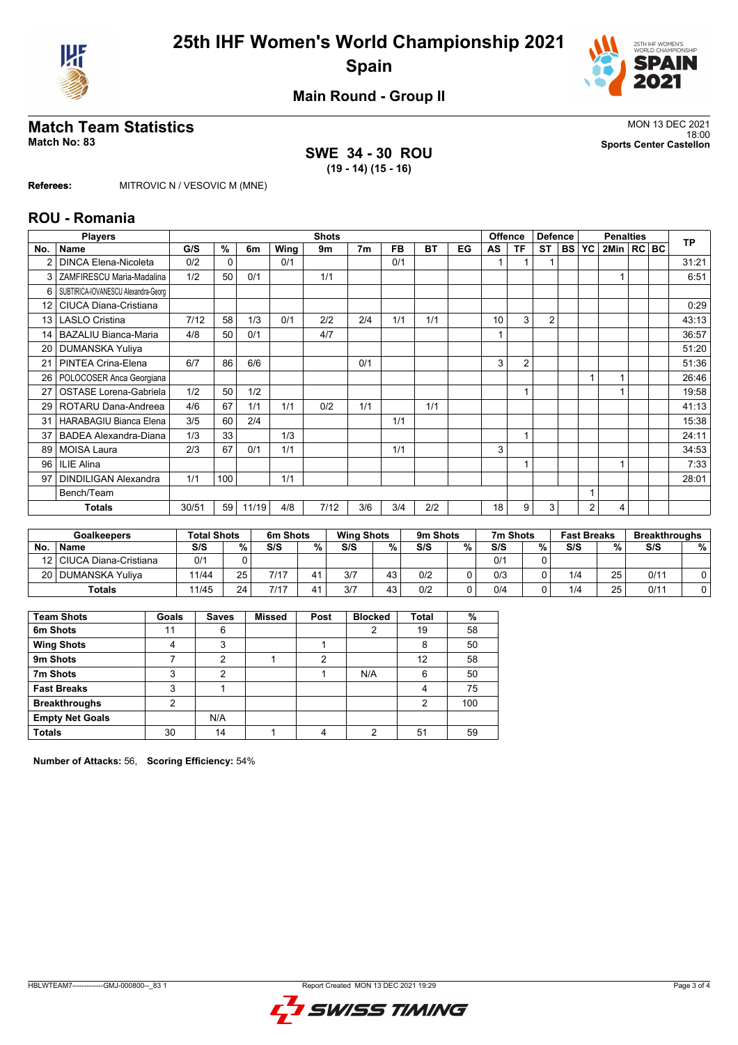



**Main Round - Group II**

# **Match Team Statistics** MON 13 DEC 2021

## **SWE 34 - 30 ROU (19 - 14) (15 - 16)**

18:00 **Match No: 83 Sports Center Castellon**

**Referees:** MITROVIC N / VESOVIC M (MNE)

### **ROU - Romania**

|                 | <b>Players</b>                      |       |          |       |      | <b>Shots</b> |                |     |           |    |    | <b>Offence</b> | <b>Defence</b> |            | <b>Penalties</b> |              | <b>TP</b> |       |
|-----------------|-------------------------------------|-------|----------|-------|------|--------------|----------------|-----|-----------|----|----|----------------|----------------|------------|------------------|--------------|-----------|-------|
| No.             | <b>Name</b>                         | G/S   | %        | 6m    | Wing | 9m           | 7 <sub>m</sub> | FB  | <b>BT</b> | EG | AS | ΤF             | <b>ST</b>      | <b>BSI</b> | <b>YC</b>        | 2Min   RC BC |           |       |
|                 | <b>DINCA Elena-Nicoleta</b>         | 0/2   | $\Omega$ |       | 0/1  |              |                | 0/1 |           |    |    |                |                |            |                  |              |           | 31:21 |
| 3               | ZAMFIRESCU Maria-Madalina           | 1/2   | 50       | 0/1   |      | 1/1          |                |     |           |    |    |                |                |            |                  |              |           | 6:51  |
| 6               | SUBTIRICA-IOVANESCU Alexandra-Georg |       |          |       |      |              |                |     |           |    |    |                |                |            |                  |              |           |       |
| 12 <sup>2</sup> | <b>CIUCA Diana-Cristiana</b>        |       |          |       |      |              |                |     |           |    |    |                |                |            |                  |              |           | 0:29  |
| 13 <sup>1</sup> | <b>LASLO Cristina</b>               | 7/12  | 58       | 1/3   | 0/1  | 2/2          | 2/4            | 1/1 | 1/1       |    | 10 | 3              | $\overline{2}$ |            |                  |              |           | 43:13 |
| 14              | <b>BAZALIU Bianca-Maria</b>         | 4/8   | 50       | 0/1   |      | 4/7          |                |     |           |    |    |                |                |            |                  |              |           | 36:57 |
| 20              | <b>DUMANSKA Yuliya</b>              |       |          |       |      |              |                |     |           |    |    |                |                |            |                  |              |           | 51:20 |
| 21              | PINTEA Crina-Elena                  | 6/7   | 86       | 6/6   |      |              | 0/1            |     |           |    | 3  | $\overline{2}$ |                |            |                  |              |           | 51:36 |
| 26              | POLOCOSER Anca Georgiana            |       |          |       |      |              |                |     |           |    |    |                |                |            |                  |              |           | 26:46 |
| 27              | OSTASE Lorena-Gabriela              | 1/2   | 50       | 1/2   |      |              |                |     |           |    |    | 1              |                |            |                  |              |           | 19:58 |
| 29 I            | ROTARU Dana-Andreea                 | 4/6   | 67       | 1/1   | 1/1  | 0/2          | 1/1            |     | 1/1       |    |    |                |                |            |                  |              |           | 41:13 |
| 31              | HARABAGIU Bianca Elena              | 3/5   | 60       | 2/4   |      |              |                | 1/1 |           |    |    |                |                |            |                  |              |           | 15:38 |
| 37              | <b>BADEA Alexandra-Diana</b>        | 1/3   | 33       |       | 1/3  |              |                |     |           |    |    |                |                |            |                  |              |           | 24:11 |
| 89              | <b>MOISA Laura</b>                  | 2/3   | 67       | 0/1   | 1/1  |              |                | 1/1 |           |    | 3  |                |                |            |                  |              |           | 34:53 |
| 96 <sup>1</sup> | <b>ILIE Alina</b>                   |       |          |       |      |              |                |     |           |    |    |                |                |            |                  |              |           | 7:33  |
| 97              | <b>DINDILIGAN Alexandra</b>         | 1/1   | 100      |       | 1/1  |              |                |     |           |    |    |                |                |            |                  |              |           | 28:01 |
|                 | Bench/Team                          |       |          |       |      |              |                |     |           |    |    |                |                |            |                  |              |           |       |
|                 | <b>Totals</b>                       | 30/51 | 59       | 11/19 | 4/8  | 7/12         | 3/6            | 3/4 | 2/2       |    | 18 | 9              | 3              |            | 2                | 4            |           |       |

|     | <b>Goalkeepers</b>         | <b>Total Shots</b> |      | 6m Shots |   |     | 9m Shots<br>7m Shots<br><b>Wing Shots</b><br><b>Fast Breaks</b> |     |   |     |   | <b>Breakthroughs</b> |    |      |   |
|-----|----------------------------|--------------------|------|----------|---|-----|-----------------------------------------------------------------|-----|---|-----|---|----------------------|----|------|---|
| No. | <b>Name</b>                | S/S                | $\%$ | S/S      | % | S/S | %                                                               | S/S | % | S/S | % | S/S                  | %  | S/S  | % |
|     | 12   CIUCA Diana-Cristiana | 0/1                |      |          |   |     |                                                                 |     |   | 0/1 |   |                      |    |      |   |
|     | 20   DUMANSKA Yuliva       | 11/44              | 25   | 7/17     |   | 3/7 | 43                                                              | 0/2 |   | 0/3 |   | 1/4                  | 25 | 0/11 |   |
|     | <b>Totals</b>              | 11/45              | 24   | 7/17     |   | 3/7 | 43                                                              | 0/2 |   | 0/4 |   | 1/4                  | 25 | 0/11 |   |

| <b>Team Shots</b>      | Goals | <b>Saves</b> | <b>Missed</b> | Post | <b>Blocked</b> | <b>Total</b> | %   |
|------------------------|-------|--------------|---------------|------|----------------|--------------|-----|
| 6m Shots               | 11    | 6            |               |      | 2              | 19           | 58  |
| <b>Wing Shots</b>      | 4     | 3            |               |      |                | 8            | 50  |
| 9m Shots               |       | 2            |               | 2    |                | 12           | 58  |
| 7m Shots               | 3     | 2            |               |      | N/A            | 6            | 50  |
| <b>Fast Breaks</b>     | 3     |              |               |      |                | 4            | 75  |
| <b>Breakthroughs</b>   | 2     |              |               |      |                | 2            | 100 |
| <b>Empty Net Goals</b> |       | N/A          |               |      |                |              |     |
| <b>Totals</b>          | 30    | 14           |               | 4    | っ              | 51           | 59  |

**Number of Attacks:** 56, **Scoring Efficiency:** 54%